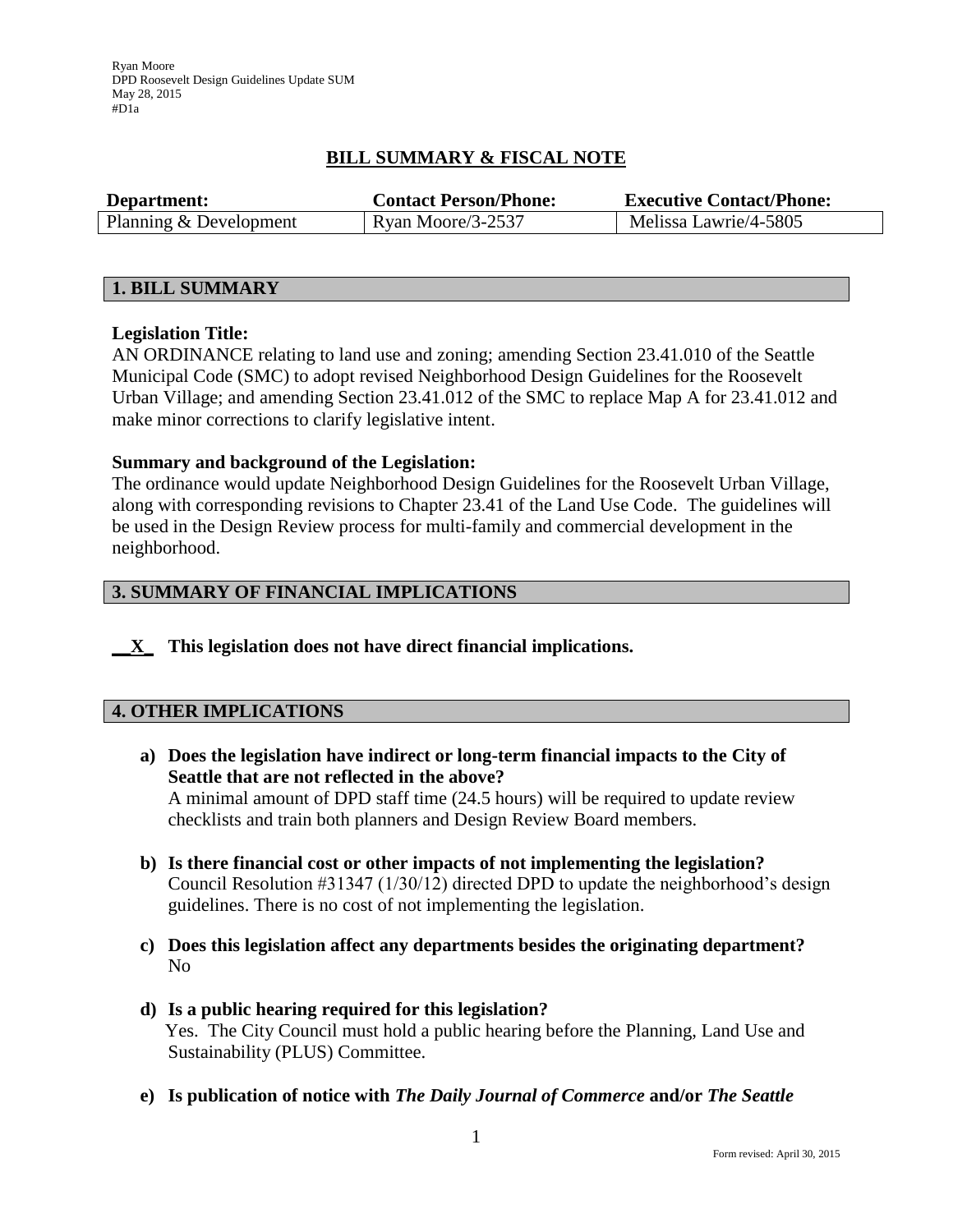Ryan Moore DPD Roosevelt Design Guidelines Update SUM May 28, 2015 #D1a

# **BILL SUMMARY & FISCAL NOTE**

| Department:            | <b>Contact Person/Phone:</b> | <b>Executive Contact/Phone:</b> |
|------------------------|------------------------------|---------------------------------|
| Planning & Development | Ryan Moore/3-2537            | Melissa Lawrie/4-5805           |

#### **1. BILL SUMMARY**

#### **Legislation Title:**

AN ORDINANCE relating to land use and zoning; amending Section 23.41.010 of the Seattle Municipal Code (SMC) to adopt revised Neighborhood Design Guidelines for the Roosevelt Urban Village; and amending Section 23.41.012 of the SMC to replace Map A for 23.41.012 and make minor corrections to clarify legislative intent.

#### **Summary and background of the Legislation:**

The ordinance would update Neighborhood Design Guidelines for the Roosevelt Urban Village, along with corresponding revisions to Chapter 23.41 of the Land Use Code. The guidelines will be used in the Design Review process for multi-family and commercial development in the neighborhood.

## **3. SUMMARY OF FINANCIAL IMPLICATIONS**

**\_\_X\_ This legislation does not have direct financial implications.**

#### **4. OTHER IMPLICATIONS**

- **a) Does the legislation have indirect or long-term financial impacts to the City of Seattle that are not reflected in the above?** A minimal amount of DPD staff time (24.5 hours) will be required to update review checklists and train both planners and Design Review Board members.
- **b) Is there financial cost or other impacts of not implementing the legislation?** Council Resolution #31347 (1/30/12) directed DPD to update the neighborhood's design guidelines. There is no cost of not implementing the legislation.
- **c) Does this legislation affect any departments besides the originating department?**  No
- **d) Is a public hearing required for this legislation?**  Yes. The City Council must hold a public hearing before the Planning, Land Use and Sustainability (PLUS) Committee.
- **e) Is publication of notice with** *The Daily Journal of Commerce* **and/or** *The Seattle*